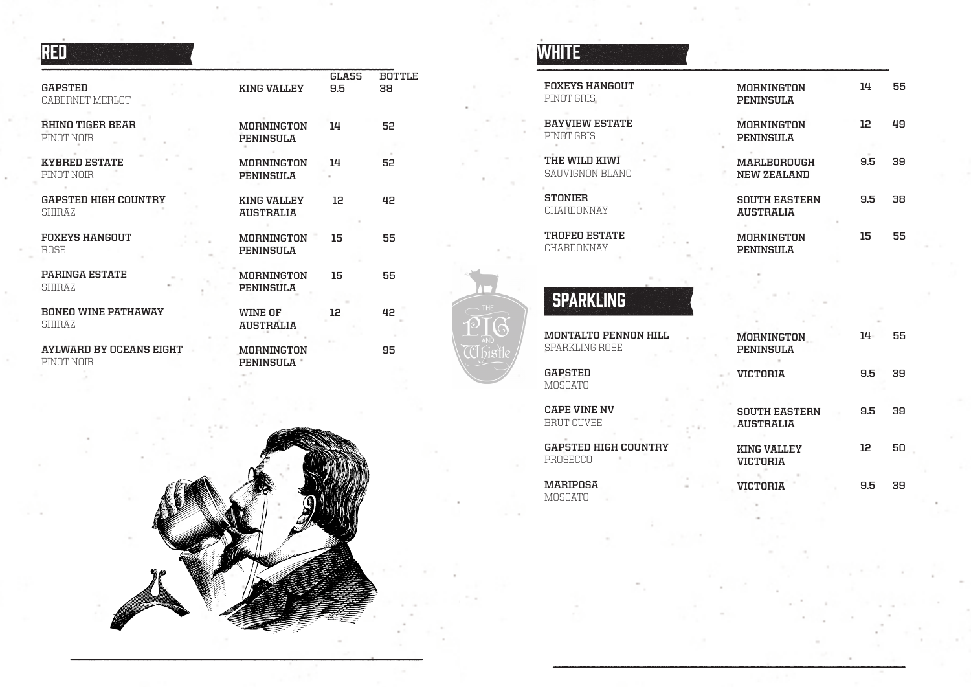| REI |  |  |
|-----|--|--|
|     |  |  |

| <b>GAPSTED</b><br>CABERNET MERLOT     | <b>KING VALLEY</b>                    | <b>GLASS</b><br>9.5 | BOTTLE<br>38 |
|---------------------------------------|---------------------------------------|---------------------|--------------|
| <b>RHINO TIGER BEAR</b><br>PINOT NOTR | <b>MORNINGTON</b><br>PENINSULA        | 14                  | 52           |
| KYBRED ESTATE<br>PINOT NOIR           | MORNINGTON<br>PENINSULA               | 14                  | 52           |
| <b>GAPSTED HIGH COUNTRY</b><br>SHIRAZ | KING VALLEY<br><b>AUSTRALIA</b>       | 12                  | 42           |
| <b>FOXEYS HANGOUT</b><br>ROSE         | <b>MORNINGTON</b><br>PENINSULA        | 15                  | 55           |
| <b>PARINGA ESTATE</b><br>SHIRAZ       | <b>MORNINGTON</b><br><b>PENINSULA</b> | 15                  | 55           |
| <b>BONEO WINE PATHAWAY</b><br>SHIRAZ  | WINE OF<br><b>AUSTRALIA</b>           | 12                  | 42           |
| AYLWARD BY OCEANS EIGHT<br>PINOT NOIR | <b>MORNINGTON</b><br>PENINSULA        |                     | 95           |



# **WHITE**

 $\bigcirc$ 

 $\mathbb{C}$ bist

| <b>FOXEYS HANGOUT</b><br>PINOT GRIS.          | <b>MORNINGTON</b><br><b>PENINSULA</b>    | 14     |
|-----------------------------------------------|------------------------------------------|--------|
| <b>BAYVIEW ESTATE</b><br>PINAT GRIS           | <b>MORNINGTON</b><br><b>PENINSULA</b>    | 12     |
| THE WILD KIWL<br>SAUVIGNON BLANC              | <b>MARLBOROUGH</b><br>NEW ZEALAND        | 9.5    |
| <b>STONIER</b><br>CHARDONNAY                  | <b>SOUTH EASTERN</b><br><b>AUSTRALIA</b> | 9.5    |
| <b>TROFEO ESTATE</b><br>CHARDONNAY            | <b>MORNINGTON</b><br><b>PENINSULA</b>    | 15     |
| <b>SPARKLING</b>                              |                                          |        |
| <b>MONTALTO PENNON HILL</b><br>SPARKLING ROSE | <b>MORNINGTON</b><br><b>PENINSULA</b>    | $14 -$ |
| <b>GAPSTED</b><br><b>MOSCATO</b>              | <b>VICTORIA</b>                          | 9.5    |
| <b>CAPE VINE NV</b><br><b>BRUT CUVEE</b>      | <b>SOUTH EASTERN</b><br><b>AUSTRALIA</b> | 9.5    |
| <b>GAPSTED HIGH COUNTRY</b><br>PROSECCO       | <b>KING VALLEY</b><br><b>VICTORIA</b>    | 12     |
| <b>MARIPOSA</b><br><b>MOSCATO</b>             | <b>VICTORIA</b>                          | 9.5    |

**55**

**49**

**39**

**38**

**55**

**55**

**39**

**39**

**50**

**39**